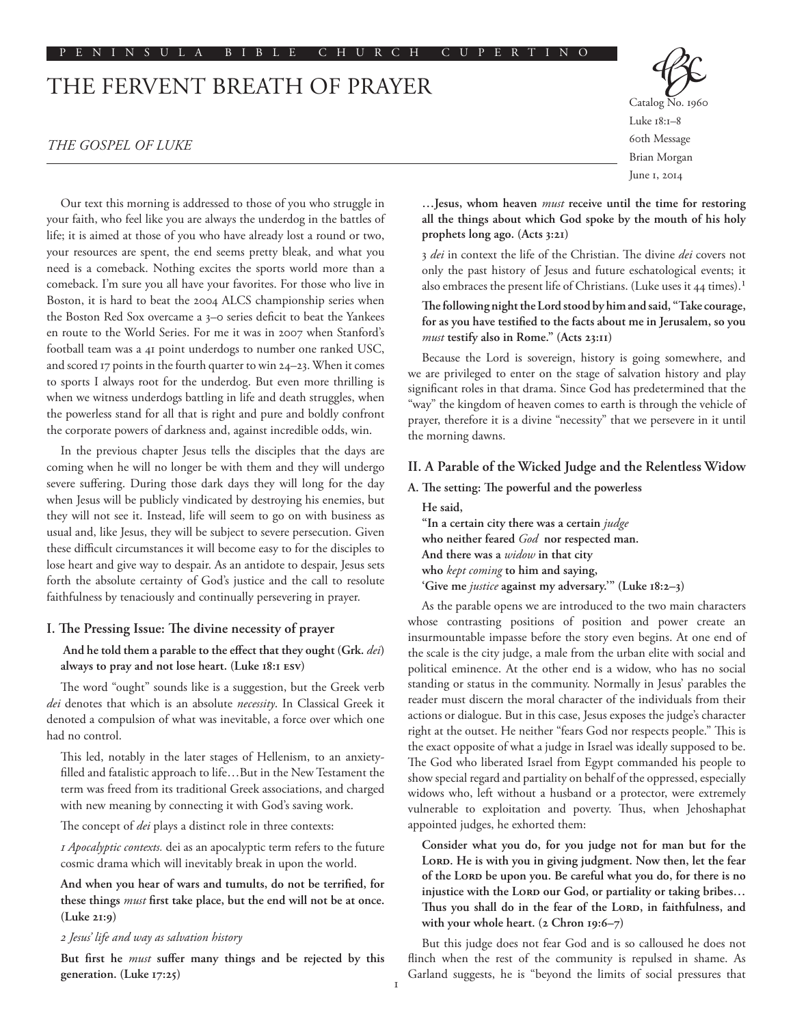# The Fervent Breath of Prayer

# *The Gospel of Luke*

Our text this morning is addressed to those of you who struggle in your faith, who feel like you are always the underdog in the battles of life; it is aimed at those of you who have already lost a round or two, your resources are spent, the end seems pretty bleak, and what you need is a comeback. Nothing excites the sports world more than a comeback. I'm sure you all have your favorites. For those who live in Boston, it is hard to beat the 2004 ALCS championship series when the Boston Red Sox overcame a 3–0 series deficit to beat the Yankees en route to the World Series. For me it was in 2007 when Stanford's football team was a 41 point underdogs to number one ranked USC, and scored 17 points in the fourth quarter to win 24–23. When it comes to sports I always root for the underdog. But even more thrilling is when we witness underdogs battling in life and death struggles, when the powerless stand for all that is right and pure and boldly confront the corporate powers of darkness and, against incredible odds, win.

In the previous chapter Jesus tells the disciples that the days are coming when he will no longer be with them and they will undergo severe suffering. During those dark days they will long for the day when Jesus will be publicly vindicated by destroying his enemies, but they will not see it. Instead, life will seem to go on with business as usual and, like Jesus, they will be subject to severe persecution. Given these difficult circumstances it will become easy to for the disciples to lose heart and give way to despair. As an antidote to despair, Jesus sets forth the absolute certainty of God's justice and the call to resolute faithfulness by tenaciously and continually persevering in prayer.

## **I. The Pressing Issue: The divine necessity of prayer**

# **And he told them a parable to the effect that they ought (Grk.** *dei***) always to pray and not lose heart. (Luke 18:1 ESV)**

The word "ought" sounds like is a suggestion, but the Greek verb *dei* denotes that which is an absolute *necessity*. In Classical Greek it denoted a compulsion of what was inevitable, a force over which one had no control.

This led, notably in the later stages of Hellenism, to an anxietyfilled and fatalistic approach to life…But in the New Testament the term was freed from its traditional Greek associations, and charged with new meaning by connecting it with God's saving work.

The concept of *dei* plays a distinct role in three contexts:

*1 Apocalyptic contexts.* dei as an apocalyptic term refers to the future cosmic drama which will inevitably break in upon the world.

**And when you hear of wars and tumults, do not be terrified, for these things** *must* **first take place, but the end will not be at once. (Luke 21:9)**

## *2 Jesus' life and way as salvation history*

**But first he** *must* **suffer many things and be rejected by this generation. (Luke 17:25)**



Catalog No. 1960 Luke 18:1–8 60th Message Brian Morgan June 1, 2014

**…Jesus, whom heaven** *must* **receive until the time for restoring all the things about which God spoke by the mouth of his holy prophets long ago. (Acts 3:21)**

3 *dei* in context the life of the Christian. The divine *dei* covers not only the past history of Jesus and future eschatological events; it also embraces the present life of Christians. (Luke uses it 44 times).<sup>1</sup>

# **The following night the Lord stood by him and said, "Take courage, for as you have testified to the facts about me in Jerusalem, so you**  *must* **testify also in Rome." (Acts 23:11)**

Because the Lord is sovereign, history is going somewhere, and we are privileged to enter on the stage of salvation history and play significant roles in that drama. Since God has predetermined that the "way" the kingdom of heaven comes to earth is through the vehicle of prayer, therefore it is a divine "necessity" that we persevere in it until the morning dawns.

#### **II. A Parable of the Wicked Judge and the Relentless Widow**

**A. The setting: The powerful and the powerless**

**He said, "In a certain city there was a certain** *judge* **who neither feared** *God* **nor respected man. And there was a** *widow* **in that city who** *kept coming* **to him and saying, 'Give me** *justice* **against my adversary.'" (Luke 18:2–3)**

As the parable opens we are introduced to the two main characters whose contrasting positions of position and power create an insurmountable impasse before the story even begins. At one end of the scale is the city judge, a male from the urban elite with social and political eminence. At the other end is a widow, who has no social standing or status in the community. Normally in Jesus' parables the reader must discern the moral character of the individuals from their actions or dialogue. But in this case, Jesus exposes the judge's character right at the outset. He neither "fears God nor respects people." This is the exact opposite of what a judge in Israel was ideally supposed to be. The God who liberated Israel from Egypt commanded his people to show special regard and partiality on behalf of the oppressed, especially widows who, left without a husband or a protector, were extremely vulnerable to exploitation and poverty. Thus, when Jehoshaphat appointed judges, he exhorted them:

**Consider what you do, for you judge not for man but for the LORD. He is with you in giving judgment. Now then, let the fear of the LORD be upon you. Be careful what you do, for there is no injustice with the LORD our God, or partiality or taking bribes… Thus you shall do in the fear of the LORD, in faithfulness, and with your whole heart. (2 Chron 19:6–7)**

But this judge does not fear God and is so calloused he does not flinch when the rest of the community is repulsed in shame. As Garland suggests, he is "beyond the limits of social pressures that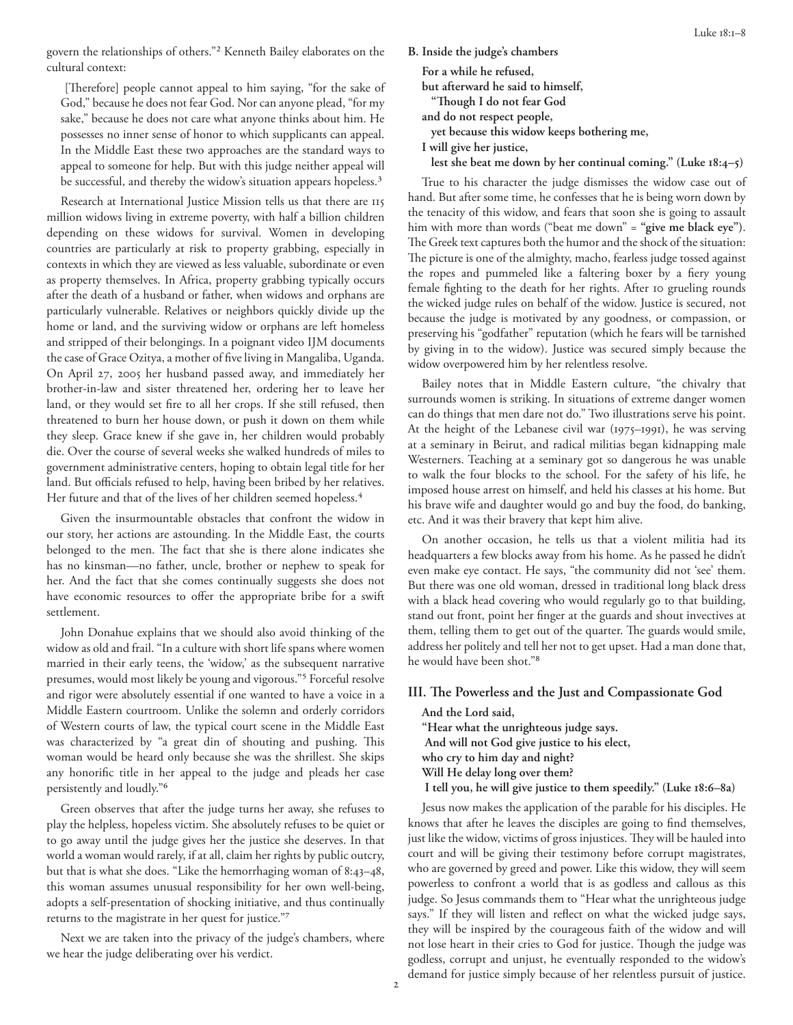govern the relationships of others."2 Kenneth Bailey elaborates on the cultural context:

 [Therefore] people cannot appeal to him saying, "for the sake of God," because he does not fear God. Nor can anyone plead, "for my sake," because he does not care what anyone thinks about him. He possesses no inner sense of honor to which supplicants can appeal. In the Middle East these two approaches are the standard ways to appeal to someone for help. But with this judge neither appeal will be successful, and thereby the widow's situation appears hopeless.<sup>3</sup>

Research at International Justice Mission tells us that there are 115 million widows living in extreme poverty, with half a billion children depending on these widows for survival. Women in developing countries are particularly at risk to property grabbing, especially in contexts in which they are viewed as less valuable, subordinate or even as property themselves. In Africa, property grabbing typically occurs after the death of a husband or father, when widows and orphans are particularly vulnerable. Relatives or neighbors quickly divide up the home or land, and the surviving widow or orphans are left homeless and stripped of their belongings. In a poignant video IJM documents the case of Grace Ozitya, a mother of five living in Mangaliba, Uganda. On April 27, 2005 her husband passed away, and immediately her brother-in-law and sister threatened her, ordering her to leave her land, or they would set fire to all her crops. If she still refused, then threatened to burn her house down, or push it down on them while they sleep. Grace knew if she gave in, her children would probably die. Over the course of several weeks she walked hundreds of miles to government administrative centers, hoping to obtain legal title for her land. But officials refused to help, having been bribed by her relatives. Her future and that of the lives of her children seemed hopeless.<sup>4</sup>

Given the insurmountable obstacles that confront the widow in our story, her actions are astounding. In the Middle East, the courts belonged to the men. The fact that she is there alone indicates she has no kinsman––no father, uncle, brother or nephew to speak for her. And the fact that she comes continually suggests she does not have economic resources to offer the appropriate bribe for a swift settlement.

John Donahue explains that we should also avoid thinking of the widow as old and frail. "In a culture with short life spans where women married in their early teens, the 'widow,' as the subsequent narrative presumes, would most likely be young and vigorous."5 Forceful resolve and rigor were absolutely essential if one wanted to have a voice in a Middle Eastern courtroom. Unlike the solemn and orderly corridors of Western courts of law, the typical court scene in the Middle East was characterized by "a great din of shouting and pushing. This woman would be heard only because she was the shrillest. She skips any honorific title in her appeal to the judge and pleads her case persistently and loudly."6

Green observes that after the judge turns her away, she refuses to play the helpless, hopeless victim. She absolutely refuses to be quiet or to go away until the judge gives her the justice she deserves. In that world a woman would rarely, if at all, claim her rights by public outcry, but that is what she does. "Like the hemorrhaging woman of 8:43–48, this woman assumes unusual responsibility for her own well-being, adopts a self-presentation of shocking initiative, and thus continually returns to the magistrate in her quest for justice."7

Next we are taken into the privacy of the judge's chambers, where we hear the judge deliberating over his verdict.

**B. Inside the judge's chambers**

**For a while he refused, but afterward he said to himself, "Though I do not fear God**

**and do not respect people,**

**yet because this widow keeps bothering me,**

**I will give her justice,**

**lest she beat me down by her continual coming." (Luke 18:4–5)** 

True to his character the judge dismisses the widow case out of hand. But after some time, he confesses that he is being worn down by the tenacity of this widow, and fears that soon she is going to assault him with more than words ("beat me down" = **"give me black eye")**. The Greek text captures both the humor and the shock of the situation: The picture is one of the almighty, macho, fearless judge tossed against the ropes and pummeled like a faltering boxer by a fiery young female fighting to the death for her rights. After 10 grueling rounds the wicked judge rules on behalf of the widow. Justice is secured, not because the judge is motivated by any goodness, or compassion, or preserving his "godfather" reputation (which he fears will be tarnished by giving in to the widow). Justice was secured simply because the widow overpowered him by her relentless resolve.

Bailey notes that in Middle Eastern culture, "the chivalry that surrounds women is striking. In situations of extreme danger women can do things that men dare not do." Two illustrations serve his point. At the height of the Lebanese civil war (1975–1991), he was serving at a seminary in Beirut, and radical militias began kidnapping male Westerners. Teaching at a seminary got so dangerous he was unable to walk the four blocks to the school. For the safety of his life, he imposed house arrest on himself, and held his classes at his home. But his brave wife and daughter would go and buy the food, do banking, etc. And it was their bravery that kept him alive.

On another occasion, he tells us that a violent militia had its headquarters a few blocks away from his home. As he passed he didn't even make eye contact. He says, "the community did not 'see' them. But there was one old woman, dressed in traditional long black dress with a black head covering who would regularly go to that building, stand out front, point her finger at the guards and shout invectives at them, telling them to get out of the quarter. The guards would smile, address her politely and tell her not to get upset. Had a man done that, he would have been shot."8

# **III. The Powerless and the Just and Compassionate God**

**And the Lord said, "Hear what the unrighteous judge says. And will not God give justice to his elect, who cry to him day and night? Will He delay long over them? I tell you, he will give justice to them speedily." (Luke 18:6–8a)**

Jesus now makes the application of the parable for his disciples. He knows that after he leaves the disciples are going to find themselves, just like the widow, victims of gross injustices. They will be hauled into court and will be giving their testimony before corrupt magistrates, who are governed by greed and power. Like this widow, they will seem powerless to confront a world that is as godless and callous as this judge. So Jesus commands them to "Hear what the unrighteous judge says." If they will listen and reflect on what the wicked judge says, they will be inspired by the courageous faith of the widow and will not lose heart in their cries to God for justice. Though the judge was godless, corrupt and unjust, he eventually responded to the widow's demand for justice simply because of her relentless pursuit of justice.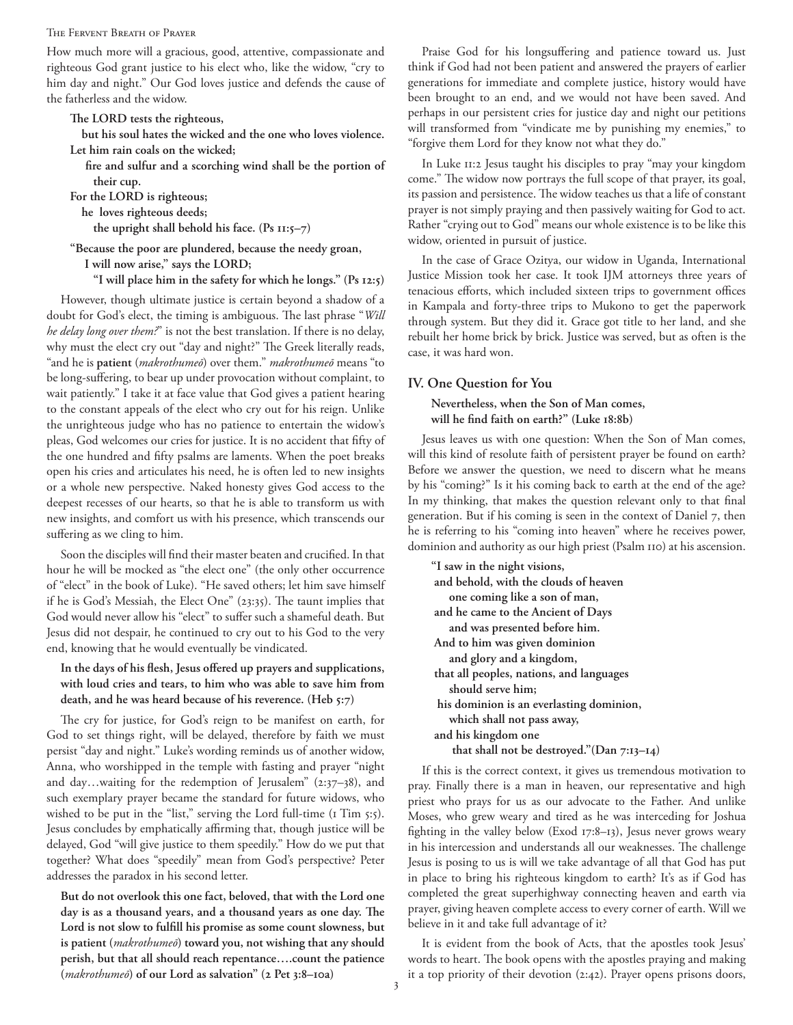#### The Fervent Breath of Prayer

How much more will a gracious, good, attentive, compassionate and righteous God grant justice to his elect who, like the widow, "cry to him day and night." Our God loves justice and defends the cause of the fatherless and the widow.

**The LORD tests the righteous,**

 **but his soul hates the wicked and the one who loves violence. Let him rain coals on the wicked;**

 **fire and sulfur and a scorching wind shall be the portion of their cup.** 

**For the LORD is righteous;**

**he loves righteous deeds;**

 **the upright shall behold his face. (Ps 11:5–7)**

**"Because the poor are plundered, because the needy groan, I will now arise," says the LORD;**

 **"I will place him in the safety for which he longs." (Ps 12:5)**

However, though ultimate justice is certain beyond a shadow of a doubt for God's elect, the timing is ambiguous. The last phrase "*Will he delay long over them?*" is not the best translation. If there is no delay, why must the elect cry out "day and night?" The Greek literally reads, "and he is **patient** (*makrothumeō*) over them." *makrothumeō* means "to be long-suffering, to bear up under provocation without complaint, to wait patiently." I take it at face value that God gives a patient hearing to the constant appeals of the elect who cry out for his reign. Unlike the unrighteous judge who has no patience to entertain the widow's pleas, God welcomes our cries for justice. It is no accident that fifty of the one hundred and fifty psalms are laments. When the poet breaks open his cries and articulates his need, he is often led to new insights or a whole new perspective. Naked honesty gives God access to the deepest recesses of our hearts, so that he is able to transform us with new insights, and comfort us with his presence, which transcends our suffering as we cling to him.

Soon the disciples will find their master beaten and crucified. In that hour he will be mocked as "the elect one" (the only other occurrence of "elect" in the book of Luke). "He saved others; let him save himself if he is God's Messiah, the Elect One" (23:35). The taunt implies that God would never allow his "elect" to suffer such a shameful death. But Jesus did not despair, he continued to cry out to his God to the very end, knowing that he would eventually be vindicated.

# **In the days of his flesh, Jesus offered up prayers and supplications, with loud cries and tears, to him who was able to save him from death, and he was heard because of his reverence. (Heb 5:7)**

The cry for justice, for God's reign to be manifest on earth, for God to set things right, will be delayed, therefore by faith we must persist "day and night." Luke's wording reminds us of another widow, Anna, who worshipped in the temple with fasting and prayer "night and day…waiting for the redemption of Jerusalem" (2:37–38), and such exemplary prayer became the standard for future widows, who wished to be put in the "list," serving the Lord full-time (1 Tim 5:5). Jesus concludes by emphatically affirming that, though justice will be delayed, God "will give justice to them speedily." How do we put that together? What does "speedily" mean from God's perspective? Peter addresses the paradox in his second letter.

**But do not overlook this one fact, beloved, that with the Lord one day is as a thousand years, and a thousand years as one day. The Lord is not slow to fulfill his promise as some count slowness, but is patient (***makrothumeō***) toward you, not wishing that any should perish, but that all should reach repentance….count the patience (***makrothumeō***) of our Lord as salvation" (2 Pet 3:8–10a)** 

Praise God for his longsuffering and patience toward us. Just think if God had not been patient and answered the prayers of earlier generations for immediate and complete justice, history would have been brought to an end, and we would not have been saved. And perhaps in our persistent cries for justice day and night our petitions will transformed from "vindicate me by punishing my enemies," to "forgive them Lord for they know not what they do."

In Luke 11:2 Jesus taught his disciples to pray "may your kingdom come." The widow now portrays the full scope of that prayer, its goal, its passion and persistence. The widow teaches us that a life of constant prayer is not simply praying and then passively waiting for God to act. Rather "crying out to God" means our whole existence is to be like this widow, oriented in pursuit of justice.

In the case of Grace Ozitya, our widow in Uganda, International Justice Mission took her case. It took IJM attorneys three years of tenacious efforts, which included sixteen trips to government offices in Kampala and forty-three trips to Mukono to get the paperwork through system. But they did it. Grace got title to her land, and she rebuilt her home brick by brick. Justice was served, but as often is the case, it was hard won.

# **IV. One Question for You**

**Nevertheless, when the Son of Man comes, will he find faith on earth?" (Luke 18:8b)**

Jesus leaves us with one question: When the Son of Man comes, will this kind of resolute faith of persistent prayer be found on earth? Before we answer the question, we need to discern what he means by his "coming?" Is it his coming back to earth at the end of the age? In my thinking, that makes the question relevant only to that final generation. But if his coming is seen in the context of Daniel 7, then he is referring to his "coming into heaven" where he receives power, dominion and authority as our high priest (Psalm 110) at his ascension.

**"I saw in the night visions, and behold, with the clouds of heaven one coming like a son of man, and he came to the Ancient of Days and was presented before him. And to him was given dominion and glory and a kingdom, that all peoples, nations, and languages should serve him; his dominion is an everlasting dominion, which shall not pass away, and his kingdom one that shall not be destroyed."(Dan 7:13–14)**

If this is the correct context, it gives us tremendous motivation to pray. Finally there is a man in heaven, our representative and high priest who prays for us as our advocate to the Father. And unlike Moses, who grew weary and tired as he was interceding for Joshua fighting in the valley below (Exod 17:8–13), Jesus never grows weary in his intercession and understands all our weaknesses. The challenge Jesus is posing to us is will we take advantage of all that God has put in place to bring his righteous kingdom to earth? It's as if God has completed the great superhighway connecting heaven and earth via prayer, giving heaven complete access to every corner of earth. Will we believe in it and take full advantage of it?

It is evident from the book of Acts, that the apostles took Jesus' words to heart. The book opens with the apostles praying and making it a top priority of their devotion (2:42). Prayer opens prisons doors,